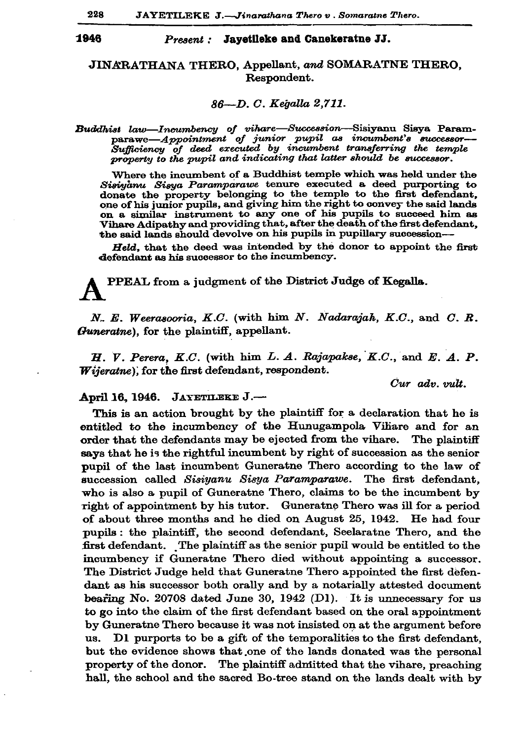### 1946

### Present : Jayetileke and Canekeratne JJ.

# JINARATHANA THERO, Appellant, and SOMARATNE THERO, Respondent.

### 86—D. C. Kegalla 2,711.

Buddhist law—Incumbency of vihare—Succession—Sisiyanu Sisya Param-<br>parawe—Appointment of junior pupil as incumbent's successor—<br>Sufficiency of deed executed by incumbent transferring the temple property to the pupil and indicating that latter should be successor.

Where the incumbent of a Buddhist temple which was held under the Sisivanu Sisva Paramparawe tenure executed a deed purporting to donate the property belonging to the temple to the first defendant. one of his junior pupils, and giving him the right to convey the said lands on a similar instrument to any one of his pupils to succeed him as Vihare Adipathy and providing that, after the death of the first defendant, the said lands should devolve on his pupils in pupillary succession--

Held, that the deed was intended by the donor to appoint the first defendant as his successor to the incumbency.

PPEAL from a judgment of the District Judge of Kegalla.

N. E. Weerasooria, K.C. (with him N. Nadarajah, K.C., and C. R. Guneratne), for the plaintiff, appellant.

 $H.$  V. Perera, K.C. (with him L. A. Rajapakse, K.C., and E. A. P. Wijeratne), for the first defendant, respondent.

Cur adv. vult.

## April 16, 1946. JAYETILEKE J.-

This is an action brought by the plaintiff for a declaration that he is entitled to the incumbency of the Hunugampola Vihare and for an order that the defendants may be ejected from the vihare. The plaintiff says that he is the rightful incumbent by right of succession as the senior pupil of the last incumbent Guneratne Thero according to the law of succession called Sisiyanu Sisya Paramparawe. The first defendant, who is also a pupil of Guneratne Thero, claims to be the incumbent by right of appointment by his tutor. Guneratne Thero was ill for a period of about three months and he died on August 25, 1942. He had four pupils: the plaintiff, the second defendant, Seelaratne Thero, and the first defendant. The plaintiff as the senior pupil would be entitled to the incumbency if Guneratne Thero died without appointing a successor. The District Judge held that Guneratne Thero appointed the first defendant as his successor both orally and by a notarially attested document bearing No. 20708 dated June 30, 1942 (D1). It is unnecessary for us to go into the claim of the first defendant based on the oral appointment by Guneratne Thero because it was not insisted on at the argument before us. D1 purports to be a gift of the temporalities to the first defendant, but the evidence shows that one of the lands donated was the personal property of the donor. The plaintiff admitted that the vihare, preaching hall, the school and the sacred Bo-tree stand on the lands dealt with by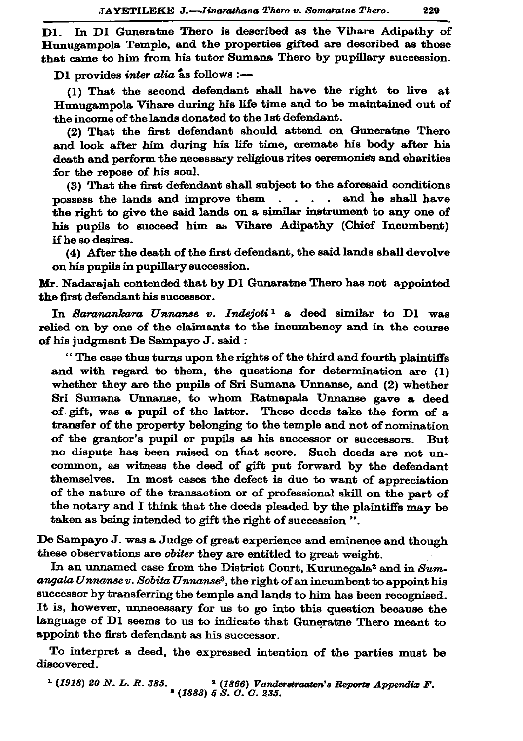D1. In D1 Guneratne Thero is described as the Vihare Adipathy of Hunugampola Temple, and the properties gifted are described as those that came to him from his tutor Sumana Thero by pupillary succession.

D1 provides inter alia as follows :-

(1) That the second defendant shall have the right to live at Hunugampola Vihare during his life time and to be maintained out of the income of the lands donated to the 1st defendant.

(2) That the first defendant should attend on Guneratne Thero and look after him during his life time, cremate his body after his death and perform the necessary religious rites ceremonies and charities for the repose of his soul.

(3) That the first defendant shall subject to the aforesaid conditions possess the lands and improve them . . . . and he shall have the right to give the said lands on a similar instrument to any one of his pupils to succeed him as Vihare Adipathy (Chief Incumbent) if he so desires.

(4) After the death of the first defendant, the said lands shall devolve on his pupils in pupillary succession.

Mr. Nadarajah contended that by D1 Gunaratne Thero has not appointed the first defendant his successor.

In Saranankara Unnanse v. Indejoti<sup>1</sup> a deed similar to D1 was relied on by one of the claimants to the incumbency and in the course of his judgment De Sampayo J. said:

"The case thus turns upon the rights of the third and fourth plaintiffs and with regard to them, the questions for determination are (1) whether they are the pupils of Sri Sumana Unnanse, and (2) whether Sri Sumana Unnanse, to whom Ratnapala Unnanse gave a deed of gift, was a pupil of the latter. These deeds take the form of a transfer of the property belonging to the temple and not of nomination of the grantor's pupil or pupils as his successor or successors. **But** no dispute has been raised on that score. Such deeds are not uncommon, as witness the deed of gift put forward by the defendant themselves. In most cases the defect is due to want of appreciation of the nature of the transaction or of professional skill on the part of the notary and I think that the deeds pleaded by the plaintiffs may be taken as being intended to gift the right of succession".

De Sampayo J. was a Judge of great experience and eminence and though these observations are *obiter* they are entitled to great weight.

In an unnamed case from the District Court, Kurunegala<sup>2</sup> and in Sumangala Unnansev. Sobita Unnanse<sup>3</sup>, the right of an incumbent to appoint his successor by transferring the temple and lands to him has been recognised. It is, however, unnecessary for us to go into this question because the language of D1 seems to us to indicate that Guneratne Thero meant to appoint the first defendant as his successor.

To interpret a deed, the expressed intention of the parties must be discovered.

<sup>1</sup> (1918) 20 N. L. R. 385. <sup>2</sup> (1866) Vanderstraaten's Reports Appendix F.<br><sup>2</sup> (1883) 5 S. C. C. 235.